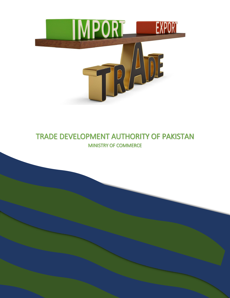

### TRADE DEVELOPMENT AUTHORITY OF PAKISTAN MINISTRY OF COMMERCE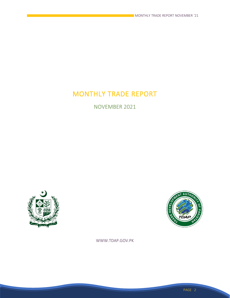# MONTHLY TRADE REPORT

NOVEMBER 2021





WWW.TDAP.GOV.PK

PAGE 2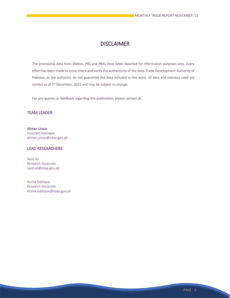### **DISCLAIMER**

The provisional data from Weboc, PBS and PRAL have been reported for information purposes only. Every effort has been made to cross-check and verify the authenticity of the data. Trade Development Authority of Pakistan, or the author(s), do not guarantee the data included in this work. All data and statistics used are correct as of  $7<sup>th</sup>$  December, 2021 and may be subject to change.

For any queries or feedback regarding this publication, please contact at:

#### TEAM LEADER

Afshan Uroos Assistant Manager afshan.uroos@tdap.gov.pk.

#### LEAD RESEARCHERS

Sajid Ali Research Associate sajid.ali@tdap.gov.pk

Asima Siddique Research Associate Asima.siddique@tdap.gov.pk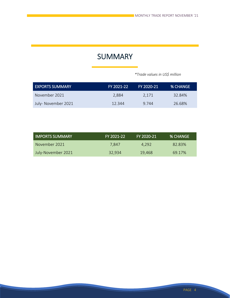### **SUMMARY**

 *\*Trade values in US\$ million*

| <b>EXPORTS SUMMARY</b> | FY 2021-22 | FY 2020-21 | <b>% CHANGE</b> |
|------------------------|------------|------------|-----------------|
| November 2021          | 2.884      | 2.171      | 32.84%          |
| July- November 2021    | 12.344     | 9 744      | 26.68%          |

| <b>IMPORTS SUMMARY</b> | FY 2021-22 | FY 2020-21 | I % CHANGE |
|------------------------|------------|------------|------------|
| November 2021          | 7.847      | 4.292      | 82.83%     |
| July-November 2021     | 32.934     | 19.468     | 69.17%     |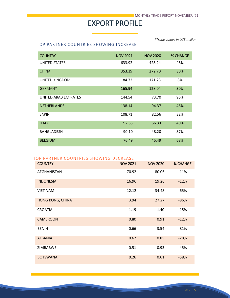# EXPORT PROFILE

*\*Trade values in US\$ million*

### TOP PARTNER COUNTRIES SHOWING INCREASE

| <b>COUNTRY</b>       | <b>NOV 2021</b> | <b>NOV 2020</b> | <b>% CHANGE</b> |
|----------------------|-----------------|-----------------|-----------------|
| UNITED STATES        | 633.92          | 428.24          | 48%             |
| <b>CHINA</b>         | 353.39          | 272.70          | 30%             |
| UNITED KINGDOM       | 184.72          | 171.23          | 8%              |
| <b>GERMANY</b>       | 165.94          | 128.04          | 30%             |
| UNITED ARAB EMIRATES | 144.54          | 73.70           | 96%             |
| <b>NETHERLANDS</b>   | 138.14          | 94.37           | 46%             |
| SAPIN                | 108.71          | 82.56           | 32%             |
| <b>ITALY</b>         | 92.65           | 66.33           | 40%             |
| <b>BANGLADESH</b>    | 90.10           | 48.20           | 87%             |
| <b>BELGIUM</b>       | 76.49           | 45.49           | 68%             |

#### TOP PARTNER COUNTRIES SHOWING DECREASE

| <b>COUNTRY</b>          | <b>NOV 2021</b> | <b>NOV 2020</b> | <b>% CHANGE</b> |
|-------------------------|-----------------|-----------------|-----------------|
| <b>AFGHANISTAN</b>      | 70.92           | 80.06           | $-11%$          |
| <b>INDONESIA</b>        | 16.96           | 19.26           | $-12%$          |
| <b>VIET NAM</b>         | 12.12           | 34.48           | $-65%$          |
| <b>HONG KONG, CHINA</b> | 3.94            | 27.27           | $-86%$          |
| <b>CROATIA</b>          | 1.19            | 1.40            | $-15%$          |
| <b>CAMEROON</b>         | 0.80            | 0.91            | $-12%$          |
| <b>BENIN</b>            | 0.66            | 3.54            | $-81%$          |
| <b>ALBANIA</b>          | 0.62            | 0.85            | $-28%$          |
| <b>ZIMBABWE</b>         | 0.51            | 0.93            | -45%            |
| <b>BOTSWANA</b>         | 0.26            | 0.61            | $-58%$          |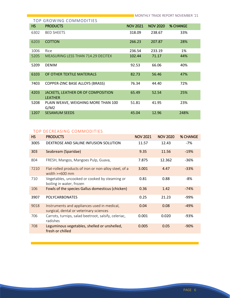|           | TOP GROWING COMMODITIES                              |                 |                 |                 |
|-----------|------------------------------------------------------|-----------------|-----------------|-----------------|
| <b>HS</b> | <b>PRODUCTS</b>                                      | <b>NOV 2021</b> | <b>NOV 2020</b> | <b>% CHANGE</b> |
| 6302      | <b>BED SHEETS</b>                                    | 318.09          | 238.67          | 33%             |
| 6203      | <b>COTTON</b>                                        | 266.23          | 207.87          | 28%             |
| 1006      | Rice                                                 | 236.54          | 233.19          | 1%              |
| 5205      | MEASURING LESS THAN 714.29 DECITEX                   | 102.44          | 71.17           | 44%             |
| 5209      | <b>DENIM</b>                                         | 92.53           | 66.06           | 40%             |
| 6103      | OF OTHER TEXTILE MATERIALS                           | 82.73           | 56.46           | 47%             |
| 7403      | <b>COPPER-ZINC BASE ALLOYS (BRASS)</b>               | 76.34           | 44.40           | 72%             |
| 4203      | JACKETS, LEATHER OR OF COMPOSITION<br><b>LEATHER</b> | 65.49           | 52.54           | 25%             |
| 5208      | PLAIN WEAVE, WEIGHING MORE THAN 100<br>G/M2          | 51.81           | 41.95           | 23%             |
| 1207      | <b>SESAMUM SEEDS</b>                                 | 45.04           | 12.96           | 248%            |

#### TOP DECREASING COMMODITIES

| <b>PRODUCTS</b>                                                                        | <b>NOV 2021</b> | <b>NOV 2020</b> | <b>% CHANGE</b> |
|----------------------------------------------------------------------------------------|-----------------|-----------------|-----------------|
| DEXTROSE AND SALINE INFUSION SOLUTION                                                  | 11.57           | 12.43           | -7%             |
| Seabream (Sparidae)                                                                    | 9.35            | 11.56           | $-19%$          |
| FRESH, Mangos, Mangoes Pulp, Guava,                                                    | 7.875           | 12.362          | $-36%$          |
| Flat-rolled products of iron or non-alloy steel, of a<br>width $>=600$ mm              | 3.001           | 4.47            | $-33%$          |
| Vegetables, uncooked or cooked by steaming or<br>boiling in water, frozen              | 0.81            | 0.88            | -8%             |
| Fowls of the species Gallus domesticus (chicken)                                       | 0.36            | 1.42            | $-74%$          |
| <b>POLYCARBONATES</b>                                                                  | 0.25            | 21.23           | -99%            |
| Instruments and appliances used in medical,<br>surgical, dental or veterinary sciences | 0.04            | 0.08            | $-49%$          |
| Carrots, turnips, salad beetroot, salsify, celeriac,<br>radishes                       | 0.001           | 0.020           | -93%            |
| Leguminous vegetables, shelled or unshelled,<br>fresh or chilled                       | 0.005           | 0.05            | $-90%$          |
|                                                                                        |                 |                 |                 |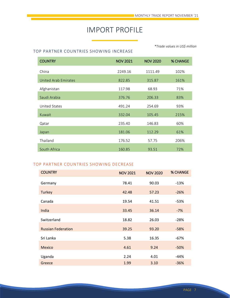## IMPORT PROFILE

*\*Trade values in US\$ million*

#### TOP PARTNER COUNTRIES SHOWING INCREASE

| <b>COUNTRY</b>       | <b>NOV 2021</b> | <b>NOV 2020</b> | <b>% CHANGE</b> |
|----------------------|-----------------|-----------------|-----------------|
| China                | 2249.16         | 1111.49         | 102%            |
| United Arab Emirates | 822.85          | 315.87          | 161%            |
| Afghanistan          | 117.98          | 68.93           | 71%             |
| Saudi Arabia         | 376.76          | 206.33          | 83%             |
| <b>United States</b> | 491.24          | 254.69          | 93%             |
| Kuwait               | 332.04          | 105.45          | 215%            |
| Qatar                | 235.40          | 146.83          | 60%             |
| Japan                | 181.06          | 112.29          | 61%             |
| Thailand             | 176.52          | 57.75           | 206%            |
| South Africa         | 160.85          | 93.51           | 72%             |

#### TOP PARTNER COUNTRIES SHOWING DECREASE

| <b>COUNTRY</b>            | <b>NOV 2021</b> | <b>NOV 2020</b> | <b>% CHANGE</b> |
|---------------------------|-----------------|-----------------|-----------------|
| Germany                   | 78.41           | 90.03           | $-13%$          |
| <b>Turkey</b>             | 42.48           | 57.23           | $-26%$          |
| Canada                    | 19.54           | 41.51           | -53%            |
|                           |                 |                 |                 |
| India                     | 33.45           | 36.14           | $-7%$           |
| Switzerland               | 18.82           | 26.03           | $-28%$          |
| <b>Russian Federation</b> | 39.25           | 93.20           | $-58%$          |
| Sri Lanka                 | 5.38            | 16.35           | $-67%$          |
| <b>Mexico</b>             | 4.61            | 9.24            | $-50%$          |
| Uganda                    | 2.24            | 4.01            | $-44%$          |
| Greece                    | 1.99            | 3.10            | $-36%$          |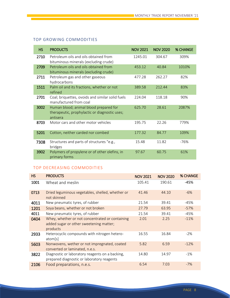### TOP GROWING COMMODITIES

| <b>HS</b> | <b>PRODUCTS</b>                                                                                     | <b>NOV 2021</b> | <b>NOV 2020</b> | <b>% CHANGE</b> |
|-----------|-----------------------------------------------------------------------------------------------------|-----------------|-----------------|-----------------|
| 2710      | Petroleum oils and oils obtained from<br>bituminous minerals (excluding crude)                      | 1245.01         | 304.67          | 309%            |
| 2709      | Petroleum oils and oils obtained from<br>bituminous minerals (excluding crude)                      | 453.12          | 40.84           | 1010%           |
| 2711      | Petroleum gas and other gaseous<br>hydrocarbons                                                     | 477.28          | 262.27          | 82%             |
| 1511      | Palm oil and its fractions, whether or not<br>refined                                               | 389.58          | 212.44          | 83%             |
| 2701      | Coal; briquettes, ovoids and similar solid fuels<br>manufactured from coal                          | 224.04          | 118.18          | 90%             |
| 3002      | Human blood; animal blood prepared for<br>therapeutic, prophylactic or diagnostic uses;<br>antisera | 625.70          | 28.61           | 2087%           |
| 8703      | Motor cars and other motor vehicles                                                                 | 195.75          | 22.26           | 779%            |
| 5201      | Cotton, neither carded nor combed                                                                   | 177.32          | 84.77           | 109%            |
| 7308      | Structures and parts of structures "e.g.,<br>bridges                                                | 15.48           | 11.82           | -76%            |
| 3902      | Polymers of propylene or of other olefins, in<br>primary forms                                      | 97.67           | 60.75           | 61%             |

### TOP DECREASING COMMODITIES

| <b>HS</b> | <b>PRODUCTS</b>                                                                                        | <b>NOV 2021</b> | <b>NOV 2020</b> | % CHANGE |
|-----------|--------------------------------------------------------------------------------------------------------|-----------------|-----------------|----------|
| 1001      | Wheat and meslin                                                                                       | 105.41          | 190.61          | -45%     |
| 0713      | Dried leguminous vegetables, shelled, whether or<br>not skinned                                        | 41.46           | 44.10           | $-6%$    |
| 4011      | New pneumatic tyres, of rubber                                                                         | 21.54           | 39.41           | -45%     |
| 1201      | Soya beans, whether or not broken                                                                      | 27.79           | 63.95           | $-57%$   |
| 4011      | New pneumatic tyres, of rubber                                                                         | 21.54           | 39.41           | $-45%$   |
| 0404      | Whey, whether or not concentrated or containing<br>added sugar or other sweetening matter;<br>products | 2.01            | 2.25            | $-11%$   |
| 2933      | Heterocyclic compounds with nitrogen hetero-<br>atom[s]                                                | 16.55           | 16.84           | $-2\%$   |
| 5603      | Nonwovens, wether or not impregnated, coated<br>converted or laminated, n.e.s.                         | 5.82            | 6.59            | $-12%$   |
| 3822      | Diagnostic or laboratory reagents on a backing,<br>prepared diagnostic or laboratory reagents          | 14.80           | 14.97           | $-1\%$   |
| 2106      | Food preparations, n.e.s.                                                                              | 6.54            | 7.03            | $-7%$    |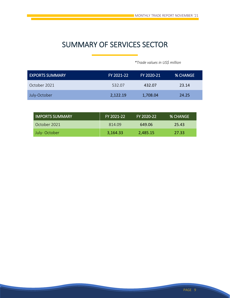# SUMMARY OF SERVICES SECTOR

 *\*Trade values in US\$ million*

| <b>EXPORTS SUMMARY</b> | FY 2021-22 | FY 2020-21 | <b>% CHANGE</b> |
|------------------------|------------|------------|-----------------|
| October 2021           | 532.07     | 432.07     | 23.14           |
| July-October           | 2,122.19   | 1,708.04   | 24.25           |

| LIMPORTS SUMMARY | FY 2021-22 | FY 2020-22 | <b>% CHANGE</b> |
|------------------|------------|------------|-----------------|
| October 2021     | 814.09     | 649.06     | 25.43           |
| July-October     | 3,164.33   | 2.485.15   | 27.33           |